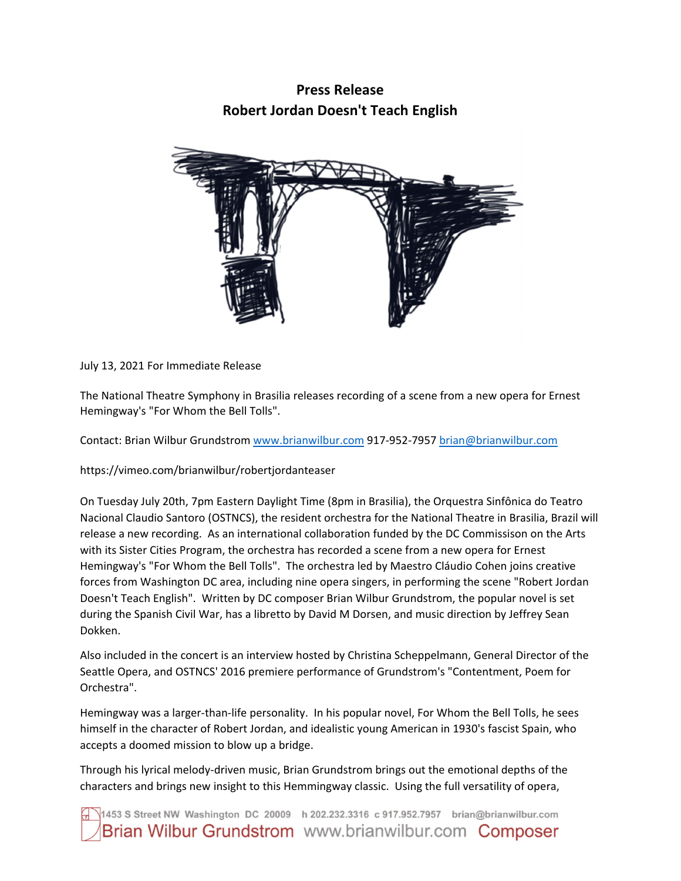## **Press Release Robert Jordan Doesn't Teach English**



July 13, 2021 For Immediate Release

The National Theatre Symphony in Brasilia releases recording of a scene from a new opera for Ernest Hemingway's "For Whom the Bell Tolls".

Contact: Brian Wilbur Grundstrom www.brianwilbur.com 917‐952‐7957 brian@brianwilbur.com

https://vimeo.com/brianwilbur/robertjordanteaser

On Tuesday July 20th, 7pm Eastern Daylight Time (8pm in Brasilia), the Orquestra Sinfônica do Teatro Nacional Claudio Santoro (OSTNCS), the resident orchestra for the National Theatre in Brasilia, Brazil will release a new recording. As an international collaboration funded by the DC Commissison on the Arts with its Sister Cities Program, the orchestra has recorded a scene from a new opera for Ernest Hemingway's "For Whom the Bell Tolls". The orchestra led by Maestro Cláudio Cohen joins creative forces from Washington DC area, including nine opera singers, in performing the scene "Robert Jordan Doesn't Teach English". Written by DC composer Brian Wilbur Grundstrom, the popular novel is set during the Spanish Civil War, has a libretto by David M Dorsen, and music direction by Jeffrey Sean Dokken.

Also included in the concert is an interview hosted by Christina Scheppelmann, General Director of the Seattle Opera, and OSTNCS' 2016 premiere performance of Grundstrom's "Contentment, Poem for Orchestra".

Hemingway was a larger-than-life personality. In his popular novel, For Whom the Bell Tolls, he sees himself in the character of Robert Jordan, and idealistic young American in 1930's fascist Spain, who accepts a doomed mission to blow up a bridge.

Through his lyrical melody‐driven music, Brian Grundstrom brings out the emotional depths of the characters and brings new insight to this Hemmingway classic. Using the full versatility of opera,

1453 S Street NW Washington DC 20009 h 202.232.3316 c 917.952.7957 brian@brianwilbur.com Brian Wilbur Grundstrom www.brianwilbur.com Composer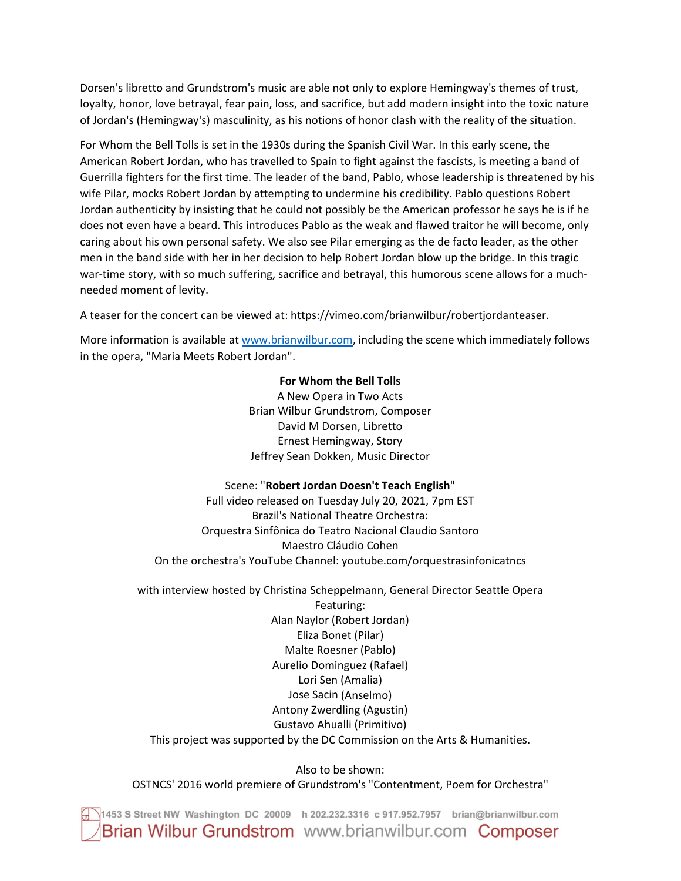Dorsen's libretto and Grundstrom's music are able not only to explore Hemingway's themes of trust, loyalty, honor, love betrayal, fear pain, loss, and sacrifice, but add modern insight into the toxic nature of Jordan's (Hemingway's) masculinity, as his notions of honor clash with the reality of the situation.

For Whom the Bell Tolls is set in the 1930s during the Spanish Civil War. In this early scene, the American Robert Jordan, who has travelled to Spain to fight against the fascists, is meeting a band of Guerrilla fighters for the first time. The leader of the band, Pablo, whose leadership is threatened by his wife Pilar, mocks Robert Jordan by attempting to undermine his credibility. Pablo questions Robert Jordan authenticity by insisting that he could not possibly be the American professor he says he is if he does not even have a beard. This introduces Pablo as the weak and flawed traitor he will become, only caring about his own personal safety. We also see Pilar emerging as the de facto leader, as the other men in the band side with her in her decision to help Robert Jordan blow up the bridge. In this tragic war-time story, with so much suffering, sacrifice and betrayal, this humorous scene allows for a muchneeded moment of levity.

A teaser for the concert can be viewed at: https://vimeo.com/brianwilbur/robertjordanteaser.

More information is available at www.brianwilbur.com, including the scene which immediately follows in the opera, "Maria Meets Robert Jordan".

## **For Whom the Bell Tolls**

A New Opera in Two Acts Brian Wilbur Grundstrom, Composer David M Dorsen, Libretto Ernest Hemingway, Story Jeffrey Sean Dokken, Music Director

## Scene: "**Robert Jordan Doesn't Teach English**"

Full video released on Tuesday July 20, 2021, 7pm EST Brazil's National Theatre Orchestra: Orquestra Sinfônica do Teatro Nacional Claudio Santoro Maestro Cláudio Cohen On the orchestra's YouTube Channel: youtube.com/orquestrasinfonicatncs

with interview hosted by Christina Scheppelmann, General Director Seattle Opera

Featuring: Alan Naylor (Robert Jordan) Eliza Bonet (Pilar) Malte Roesner (Pablo) Aurelio Dominguez (Rafael) Lori Sen (Amalia) Jose Sacin (Anselmo) Antony Zwerdling (Agustin) Gustavo Ahualli (Primitivo) This project was supported by the DC Commission on the Arts & Humanities.

Also to be shown: OSTNCS' 2016 world premiere of Grundstrom's "Contentment, Poem for Orchestra"

1453 S Street NW Washington DC 20009 h 202.232.3316 c 917.952.7957 brian@brianwilbur.com Brian Wilbur Grundstrom www.brianwilbur.com Composer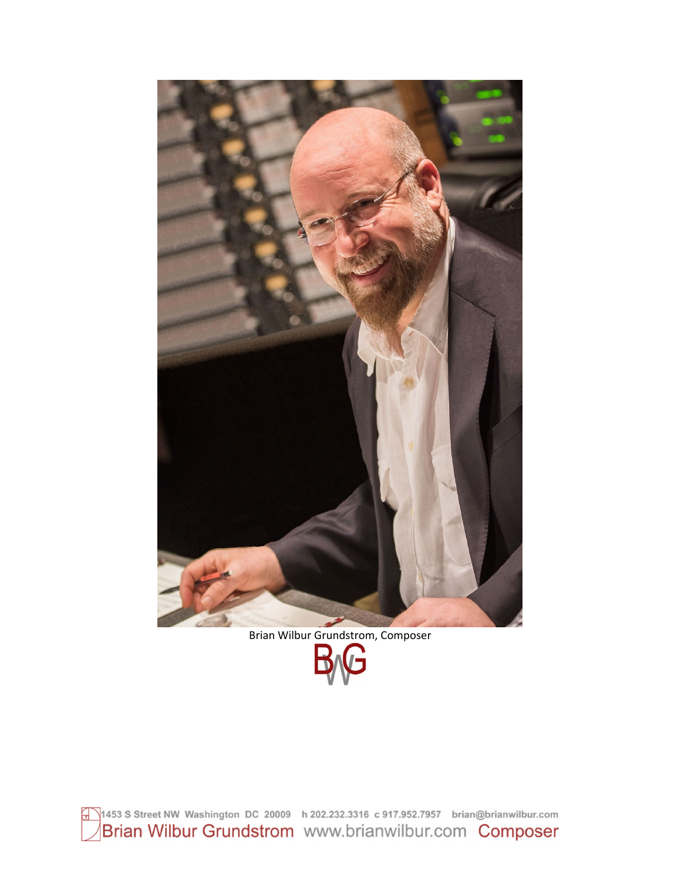

1453 S Street NW Washington DC 20009 h 202.232.3316 c 917.952.7957 brian@brianwilbur.com<br>Brian Wilbur Grundstrom WWW.brianwilbur.com Composer